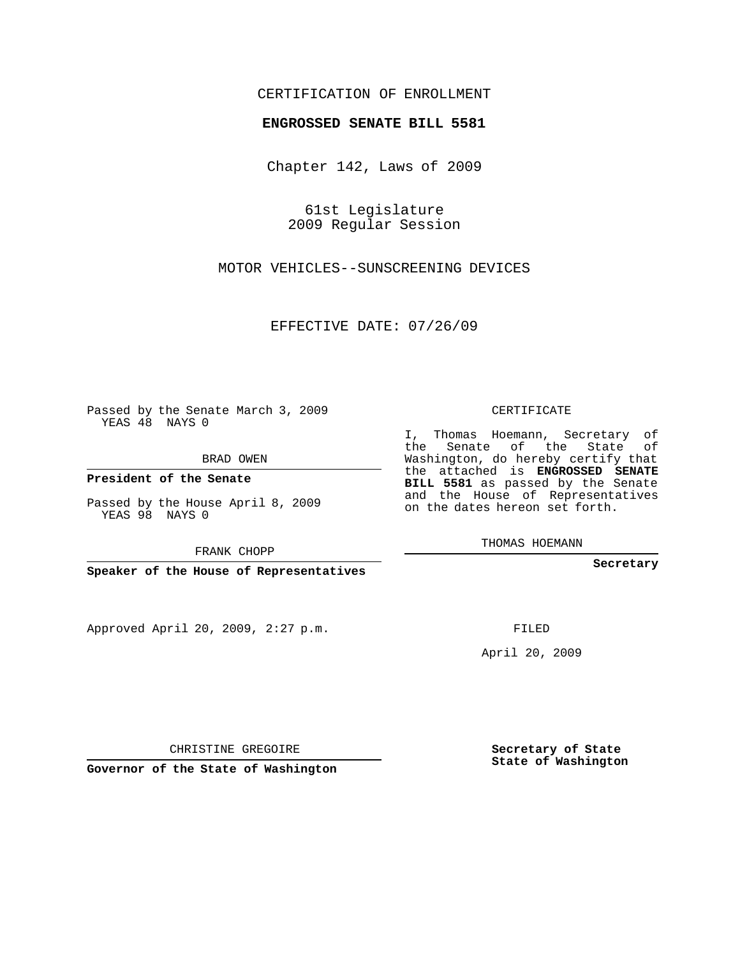## CERTIFICATION OF ENROLLMENT

## **ENGROSSED SENATE BILL 5581**

Chapter 142, Laws of 2009

61st Legislature 2009 Regular Session

MOTOR VEHICLES--SUNSCREENING DEVICES

EFFECTIVE DATE: 07/26/09

Passed by the Senate March 3, 2009 YEAS 48 NAYS 0

BRAD OWEN

**President of the Senate**

Passed by the House April 8, 2009 YEAS 98 NAYS 0

FRANK CHOPP

**Speaker of the House of Representatives**

Approved April 20, 2009, 2:27 p.m.

CERTIFICATE

I, Thomas Hoemann, Secretary of the Senate of the State of Washington, do hereby certify that the attached is **ENGROSSED SENATE BILL 5581** as passed by the Senate and the House of Representatives on the dates hereon set forth.

THOMAS HOEMANN

**Secretary**

FILED

April 20, 2009

**Secretary of State State of Washington**

CHRISTINE GREGOIRE

**Governor of the State of Washington**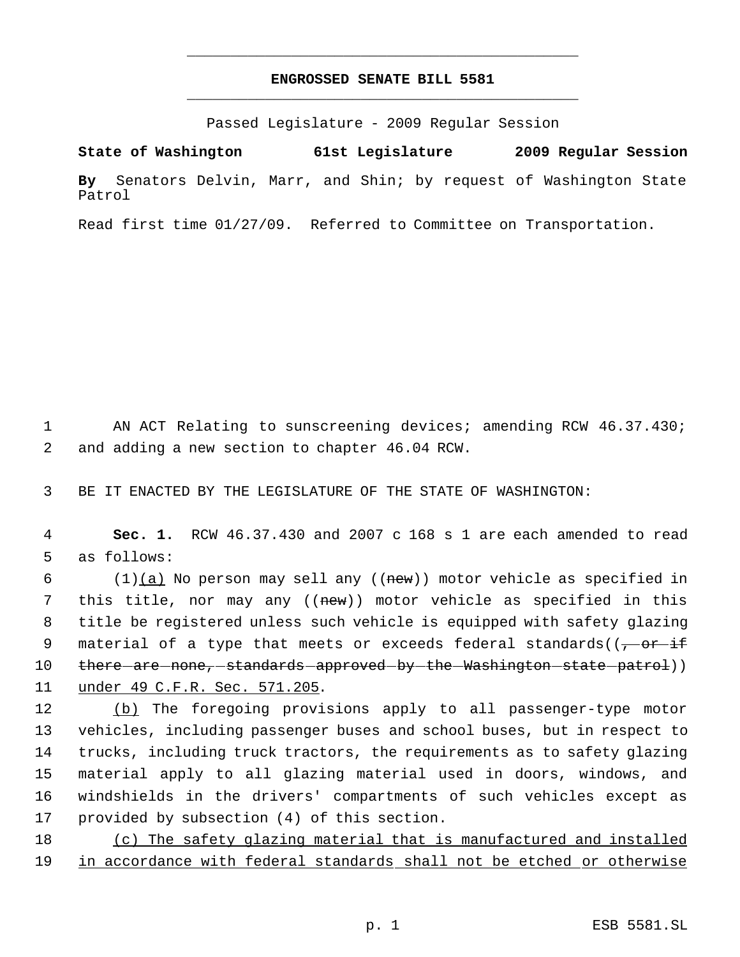## **ENGROSSED SENATE BILL 5581** \_\_\_\_\_\_\_\_\_\_\_\_\_\_\_\_\_\_\_\_\_\_\_\_\_\_\_\_\_\_\_\_\_\_\_\_\_\_\_\_\_\_\_\_\_

\_\_\_\_\_\_\_\_\_\_\_\_\_\_\_\_\_\_\_\_\_\_\_\_\_\_\_\_\_\_\_\_\_\_\_\_\_\_\_\_\_\_\_\_\_

Passed Legislature - 2009 Regular Session

**State of Washington 61st Legislature 2009 Regular Session By** Senators Delvin, Marr, and Shin; by request of Washington State Patrol

Read first time 01/27/09. Referred to Committee on Transportation.

 1 AN ACT Relating to sunscreening devices; amending RCW 46.37.430; 2 and adding a new section to chapter 46.04 RCW.

3 BE IT ENACTED BY THE LEGISLATURE OF THE STATE OF WASHINGTON:

 4 **Sec. 1.** RCW 46.37.430 and 2007 c 168 s 1 are each amended to read 5 as follows:

6 (1) $(a)$  No person may sell any ((new)) motor vehicle as specified in 7 this title, nor may any ((new)) motor vehicle as specified in this 8 title be registered unless such vehicle is equipped with safety glazing 9 material of a type that meets or exceeds federal standards((<del>, or if</del> 10 t<del>here are none, standards approved by the Washington state patrol</del>)) 11 under 49 C.F.R. Sec. 571.205.

 (b) The foregoing provisions apply to all passenger-type motor vehicles, including passenger buses and school buses, but in respect to trucks, including truck tractors, the requirements as to safety glazing material apply to all glazing material used in doors, windows, and windshields in the drivers' compartments of such vehicles except as provided by subsection (4) of this section.

18 (c) The safety glazing material that is manufactured and installed 19 in accordance with federal standards shall not be etched or otherwise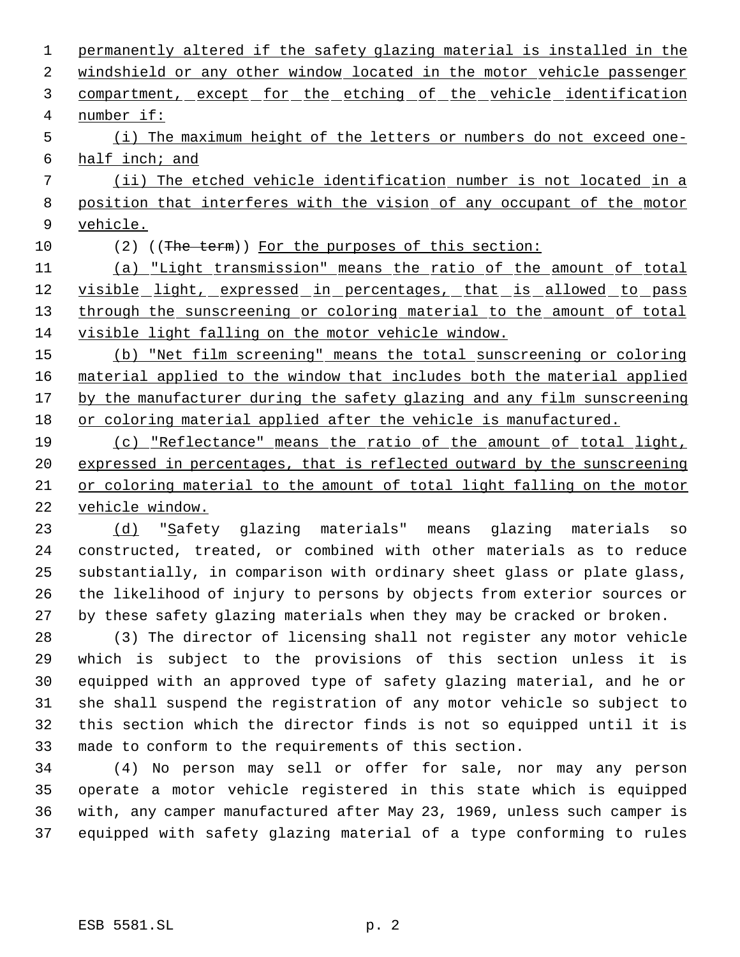permanently altered if the safety glazing material is installed in the 2 windshield or any other window located in the motor vehicle passenger 3 compartment, except for the etching of the vehicle identification number if: (i) The maximum height of the letters or numbers do not exceed one- half inch; and (ii) The etched vehicle identification number is not located in a position that interferes with the vision of any occupant of the motor vehicle. 10 (2) ((The term)) For the purposes of this section: (a) "Light transmission" means the ratio of the amount of total 12 visible light, expressed in percentages, that is allowed to pass 13 through the sunscreening or coloring material to the amount of total visible light falling on the motor vehicle window. (b) "Net film screening" means the total sunscreening or coloring material applied to the window that includes both the material applied 17 by the manufacturer during the safety glazing and any film sunscreening or coloring material applied after the vehicle is manufactured. (c) "Reflectance" means the ratio of the amount of total light, expressed in percentages, that is reflected outward by the sunscreening or coloring material to the amount of total light falling on the motor

vehicle window.

23 (d) "Safety glazing materials" means glazing materials so constructed, treated, or combined with other materials as to reduce substantially, in comparison with ordinary sheet glass or plate glass, the likelihood of injury to persons by objects from exterior sources or by these safety glazing materials when they may be cracked or broken.

 (3) The director of licensing shall not register any motor vehicle which is subject to the provisions of this section unless it is equipped with an approved type of safety glazing material, and he or she shall suspend the registration of any motor vehicle so subject to this section which the director finds is not so equipped until it is made to conform to the requirements of this section.

 (4) No person may sell or offer for sale, nor may any person operate a motor vehicle registered in this state which is equipped with, any camper manufactured after May 23, 1969, unless such camper is equipped with safety glazing material of a type conforming to rules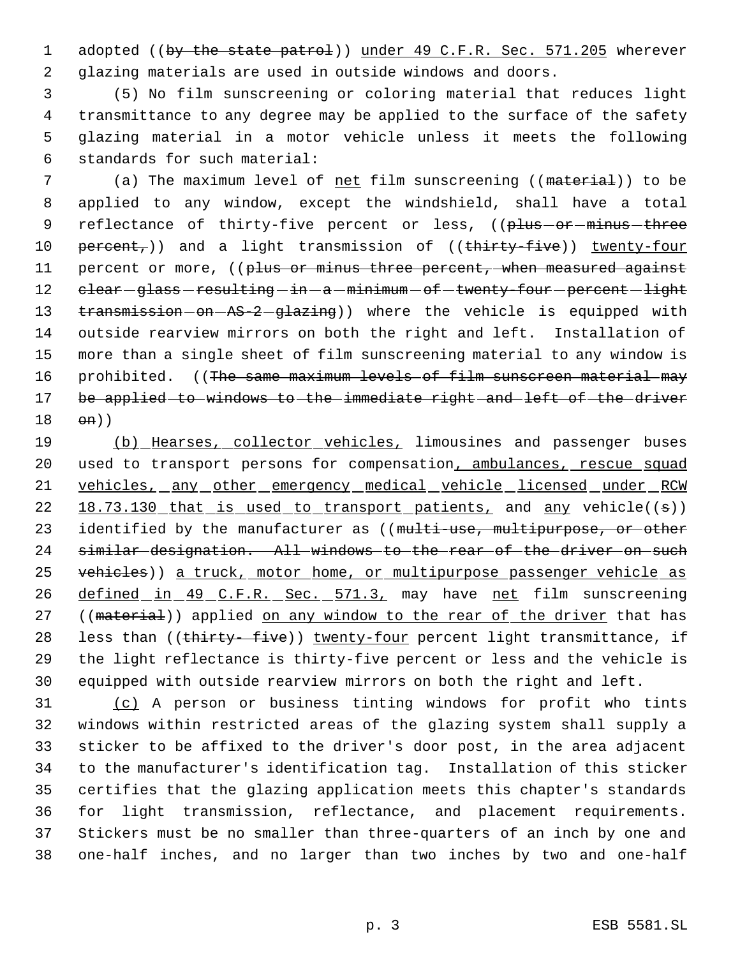1 adopted ((by the state patrol)) under 49 C.F.R. Sec. 571.205 wherever 2 glazing materials are used in outside windows and doors.

 (5) No film sunscreening or coloring material that reduces light transmittance to any degree may be applied to the surface of the safety glazing material in a motor vehicle unless it meets the following standards for such material:

7 (a) The maximum level of net film sunscreening ((material)) to be 8 applied to any window, except the windshield, shall have a total 9 reflectance of thirty-five percent or less, ((plus -or -minus -three 10 percent,)) and a light transmission of ((thirty-five)) twenty-four 11 percent or more, ((plus or minus three percent, when measured against 12 clear-glass-resulting-in-a-minimum-of-twenty-four-percent-light 13 transmission-on-AS-2-glazing)) where the vehicle is equipped with 14 outside rearview mirrors on both the right and left. Installation of 15 more than a single sheet of film sunscreening material to any window is 16 prohibited. ((The same maximum levels of film sunscreen material may 17 be applied to windows to the immediate right and left of the driver 18 on))

19 (b) Hearses, collector vehicles, limousines and passenger buses 20 used to transport persons for compensation, ambulances, rescue squad 21 vehicles, any other emergency medical vehicle licensed under RCW 22 18.73.130 that is used to transport patients, and any vehicle((s)) 23 identified by the manufacturer as ((multi-use, multipurpose, or other 24 similar designation. All windows to the rear of the driver on such 25 vehicles)) a truck, motor home, or multipurpose passenger vehicle as 26 defined in 49 C.F.R. Sec. 571.3, may have net film sunscreening 27 ((material)) applied on any window to the rear of the driver that has 28 less than ((thirty-five)) twenty-four percent light transmittance, if 29 the light reflectance is thirty-five percent or less and the vehicle is 30 equipped with outside rearview mirrors on both the right and left.

 (c) A person or business tinting windows for profit who tints windows within restricted areas of the glazing system shall supply a sticker to be affixed to the driver's door post, in the area adjacent to the manufacturer's identification tag. Installation of this sticker certifies that the glazing application meets this chapter's standards for light transmission, reflectance, and placement requirements. Stickers must be no smaller than three-quarters of an inch by one and one-half inches, and no larger than two inches by two and one-half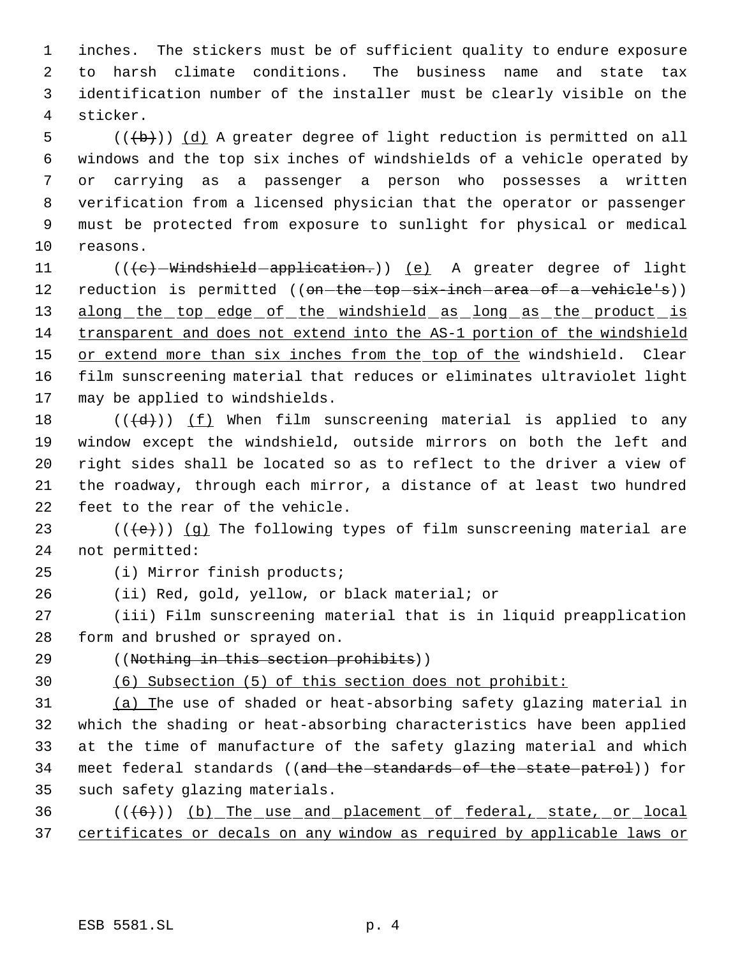inches. The stickers must be of sufficient quality to endure exposure to harsh climate conditions. The business name and state tax identification number of the installer must be clearly visible on the sticker.

 (( $\left(\frac{1}{b}\right)$ ) (d) A greater degree of light reduction is permitted on all windows and the top six inches of windshields of a vehicle operated by or carrying as a passenger a person who possesses a written verification from a licensed physician that the operator or passenger must be protected from exposure to sunlight for physical or medical reasons.

11 (((c) Windshield application.)) (e) A greater degree of light 12 reduction is permitted ((<del>on-the-top-six-inch-area-of-a-vehicle's</del>)) 13 along the top edge of the windshield as long as the product is transparent and does not extend into the AS-1 portion of the windshield 15 or extend more than six inches from the top of the windshield. Clear film sunscreening material that reduces or eliminates ultraviolet light may be applied to windshields.

 $((\{d\})$   $(f)$  When film sunscreening material is applied to any window except the windshield, outside mirrors on both the left and right sides shall be located so as to reflect to the driver a view of the roadway, through each mirror, a distance of at least two hundred feet to the rear of the vehicle.

23  $((\{e\})$   $(g)$  The following types of film sunscreening material are not permitted:

(i) Mirror finish products;

(ii) Red, gold, yellow, or black material; or

 (iii) Film sunscreening material that is in liquid preapplication form and brushed or sprayed on.

((Nothing in this section prohibits))

(6) Subsection (5) of this section does not prohibit:

 (a) The use of shaded or heat-absorbing safety glazing material in which the shading or heat-absorbing characteristics have been applied at the time of manufacture of the safety glazing material and which 34 meet federal standards ((and the standards of the state patrol)) for such safety glazing materials.

36  $((\langle 6 \rangle) )$  (b) The use and placement of federal, state, or local certificates or decals on any window as required by applicable laws or